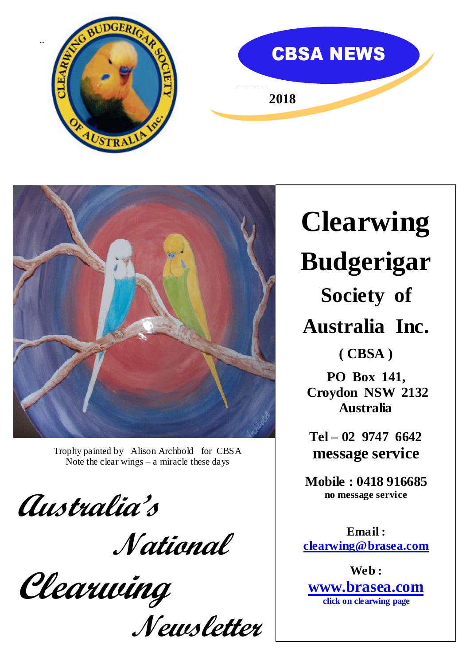





 Trophy painted by Alison Archbold for CBSA Note the clear wings  $-$  a miracle these days

**Australia's** 

 **National** 

**Clearwing** 

**Newsletter**

**Clearwing Budgerigar Society of Australia Inc.**

**( CBSA )**

**PO Box 141, Croydon NSW 2132 Australia**

**Tel – 02 9747 6642 message service** 

**Mobile : 0418 916685 no message service**

**Email : [clearwing@brasea.com](mailto:clearwing@brasea.com)**

**Web : [www.brasea.com](http://www.brasea.com/) click on clearwing page**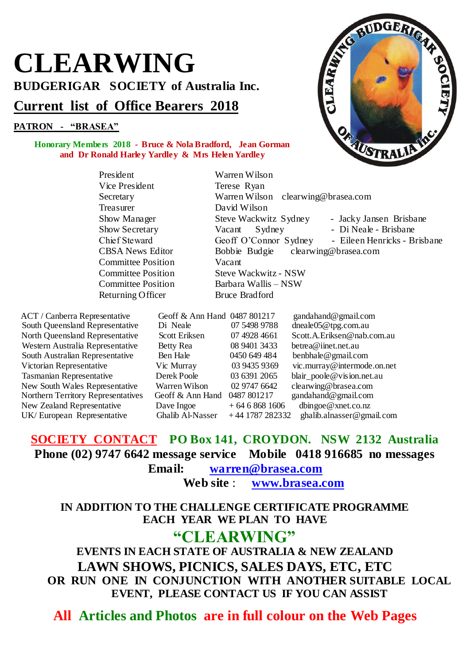# **CLEARWING BUDGERIGAR SOCIETY of Australia Inc. Current list of Office Bearers 2018**

### **PATRON - "BRASEA"**

#### **Honorary Members 2018 - Bruce & Nola Bradford, Jean Gorman and Dr Ronald Harley Yardley & Mrs Helen Yardley**

President Warren Wilson Vice President Terese Ryan Secretary Warren Wilson clearwing@brasea.com Treasurer David Wilson Committee Position Vacant<br>Committee Position Steve V

South Queensland Representative

ACT / Canberra Representative Geoff & Ann Hand 0487 801217 gandahand@gmail.com<br>South Oueensland Representative Di Neale 07 5498 9788 dneale05@tpg.com.au Western Australia Representative Betty Rea 08 9401 3433 [betrea@iinet.net.au](mailto:betrea@iinet.net.au) South Australian Representative Ben Hale 0450 649 484 benbhale@gmail.com Victorian Representative Vic Murray 03 9435 9369 vic.murray@intermode.on.net Tasmanian Representative Derek Poole 03 6391 2065 blair\_poole@vision.net.au New South Wales Representative Warren Wilson 02 9747 6642 clearwing@brasea.com Northern Territory Representatives Geoff & Ann Hand 0487 801217 gandahand@gmail.com New Zealand Representative Dave Ingoe  $+ 6468681606$  dbingoe@xnet.co.nz UK/ European Representative Ghalib Al-Nasser + 44 1787 282332 ghalib.alnasser@gmail.com

**SOCIETY CONTACT PO Box 141, CROYDON. NSW 2132 Australia Phone (02) 9747 6642 message service Mobile 0418 916685 no messages**

**Email: warren@brasea.com**

**Web site** : **[www.brasea.com](http://www.brasea.com/clearwing)**

### **IN ADDITION TO THE CHALLENGE CERTIFICATE PROGRAMME EACH YEAR WE PLAN TO HAVE**

### **"CLEARWING"**

**EVENTS IN EACH STATE OF AUSTRALIA & NEW ZEALAND LAWN SHOWS, PICNICS, SALES DAYS, ETC, ETC OR RUN ONE IN CONJUNCTION WITH ANOTHER SUITABLE LOCAL EVENT, PLEASE CONTACT US IF YOU CAN ASSIST**

**All Articles and Photos are in full colour on the Web Pages**



Show Manager Steve Wackwitz Sydney - Jacky Jansen Brisbane<br>
Show Secretary Vacant Sydney - Di Neale - Brisbane - Di Neale - Brisbane Chief Steward Geoff O'Connor Sydney - Eileen Henricks - Brisbane CBSA News Editor Bobbie Budgie clearwing@brasea.com Committee Position Steve Wackwitz - NSW<br>
Committee Position Barbara Wallis – NSW Barbara Wallis – NSW Returning Officer Bruce Bradford North Queensland Representative Scott Eriksen 07 4928 4661 Scott.A.Eriksen@nab.com.au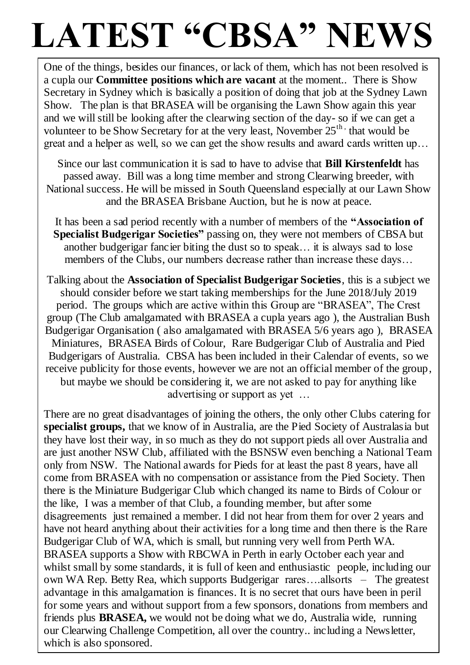# LATEST "CBSA" NEWS

One of the things, besides our finances, or lack of them, which has not been resolved is a cupla our **Committee positions which are vacant** at the moment.. There is Show Secretary in Sydney which is basically a position of doing that job at the Sydney Lawn Show. The plan is that BRASEA will be organising the Lawn Show again this year and we will still be looking after the clearwing section of the day- so if we can get a volunteer to be Show Secretary for at the very least, November  $25<sup>th</sup>$  that would be great and a helper as well, so we can get the show results and award cards written up…

Since our last communication it is sad to have to advise that **Bill Kirstenfeldt** has passed away. Bill was a long time member and strong Clearwing breeder, with National success. He will be missed in South Queensland especially at our Lawn Show and the BRASEA Brisbane Auction, but he is now at peace.

It has been a sad period recently with a number of members of the **"Association of Specialist Budgerigar Societies"** passing on, they were not members of CBSA but another budgerigar fancier biting the dust so to speak… it is always sad to lose members of the Clubs, our numbers decrease rather than increase these days...

Talking about the **Association of Specialist Budgerigar Societies**, this is a subject we should consider before we start taking memberships for the June 2018/July 2019 period. The groups which are active within this Group are "BRASEA", The Crest group (The Club amalgamated with BRASEA a cupla years ago ), the Australian Bush Budgerigar Organisation ( also amalgamated with BRASEA 5/6 years ago ), BRASEA Miniatures, BRASEA Birds of Colour, Rare Budgerigar Club of Australia and Pied Budgerigars of Australia. CBSA has been included in their Calendar of events, so we receive publicity for those events, however we are not an official member of the group, but maybe we should be considering it, we are not asked to pay for anything like advertising or support as yet …

There are no great disadvantages of joining the others, the only other Clubs catering for **specialist groups,** that we know of in Australia, are the Pied Society of Australasia but they have lost their way, in so much as they do not support pieds all over Australia and are just another NSW Club, affiliated with the BSNSW even benching a National Team only from NSW. The National awards for Pieds for at least the past 8 years, have all come from BRASEA with no compensation or assistance from the Pied Society. Then there is the Miniature Budgerigar Club which changed its name to Birds of Colour or the like, I was a member of that Club, a founding member, but after some disagreements just remained a member. I did not hear from them for over 2 years and have not heard anything about their activities for a long time and then there is the Rare Budgerigar Club of WA, which is small, but running very well from Perth WA. BRASEA supports a Show with RBCWA in Perth in early October each year and whilst small by some standards, it is full of keen and enthusiastic people, including our own WA Rep. Betty Rea, which supports Budgerigar rares….allsorts – The greatest advantage in this amalgamation is finances. It is no secret that ours have been in peril for some years and without support from a few sponsors, donations from members and friends plus **BRASEA,** we would not be doing what we do, Australia wide, running our Clearwing Challenge Competition, all over the country.. including a Newsletter, which is also sponsored.

ֺ֖֚֝֬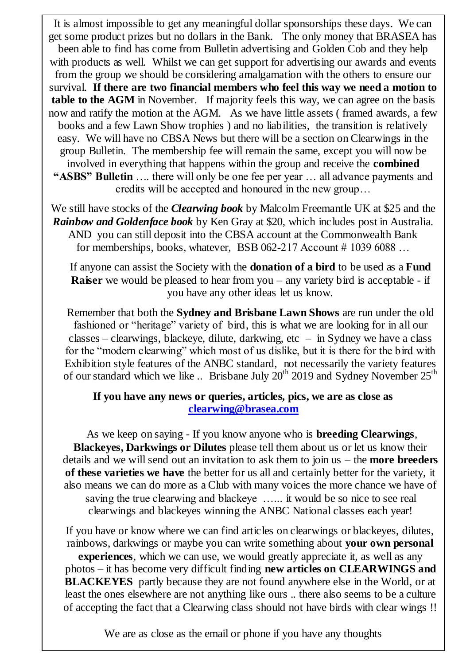It is almost impossible to get any meaningful dollar sponsorships these days. We can get some product prizes but no dollars in the Bank. The only money that BRASEA has been able to find has come from Bulletin advertising and Golden Cob and they help with products as well. Whilst we can get support for advertising our awards and events from the group we should be considering amalgamation with the others to ensure our survival. **If there are two financial members who feel this way we need a motion to table to the AGM** in November. If majority feels this way, we can agree on the basis now and ratify the motion at the AGM. As we have little assets ( framed awards, a few books and a few Lawn Show trophies ) and no liabilities, the transition is relatively easy. We will have no CBSA News but there will be a section on Clearwings in the group Bulletin. The membership fee will remain the same, except you will now be involved in everything that happens within the group and receive the **combined "ASBS" Bulletin** …. there will only be one fee per year … all advance payments and credits will be accepted and honoured in the new group…

We still have stocks of the *Clearwing book* by Malcolm Freemantle UK at \$25 and the *Rainbow and Goldenface book* by Ken Gray at \$20, which includes post in Australia. AND you can still deposit into the CBSA account at the Commonwealth Bank for memberships, books, whatever, BSB 062-217 Account  $\#$  1039 6088 ...

If anyone can assist the Society with the **donation of a bird** to be used as a **Fund Raiser** we would be pleased to hear from you – any variety bird is acceptable - if you have any other ideas let us know.

Remember that both the **Sydney and Brisbane Lawn Shows** are run under the old fashioned or "heritage" variety of bird, this is what we are looking for in all our classes – clearwings, blackeye, dilute, darkwing,  $etc - in Sydney$  we have a class for the "modern clearwing" which most of us dislike, but it is there for the bird with Exhibition style features of the ANBC standard, not necessarily the variety features of our standard which we like .. Brisbane July  $20^{th}$  2019 and Sydney November  $25^{th}$ 

### **If you have any news or queries, articles, pics, we are as close as [clearwing@brasea.com](mailto:clearwing@brasea.com)**

As we keep on saying - If you know anyone who is **breeding Clearwings**, **Blackeyes, Darkwings or Dilutes** please tell them about us or let us know their details and we will send out an invitation to ask them to join us – the **more breeders of these varieties we have** the better for us all and certainly better for the variety, it also means we can do more as a Club with many voices the more chance we have of saving the true clearwing and blackeye …... it would be so nice to see real clearwings and blackeyes winning the ANBC National classes each year!

If you have or know where we can find articles on clearwings or blackeyes, dilutes, rainbows, darkwings or maybe you can write something about **your own personal experiences**, which we can use, we would greatly appreciate it, as well as any photos – it has become very difficult finding **new articles on CLEARWINGS and BLACKEYES** partly because they are not found anywhere else in the World, or at least the ones elsewhere are not anything like ours .. there also seems to be a culture of accepting the fact that a Clearwing class should not have birds with clear wings !!

We are as close as the email or phone if you have any thoughts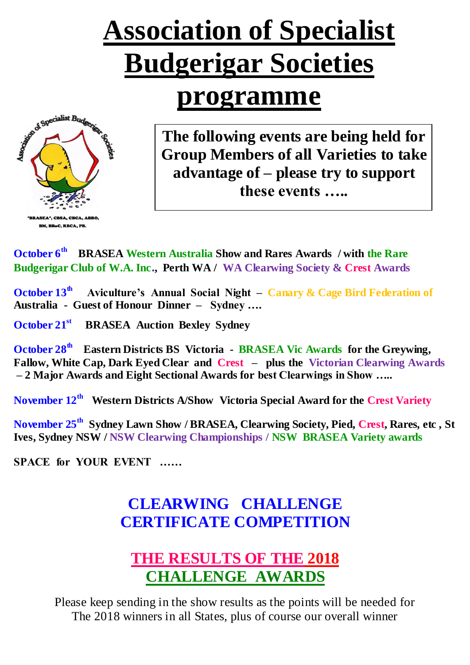# **Association of Specialist Budgerigar Societies**

# **programme**



**The following events are being held for Group Members of all Varieties to take advantage of – please try to support these events …..**

**October 6th BRASEA Western Australia Show and Rares Awards / with the Rare Budgerigar Club of W.A. Inc., Perth WA / WA Clearwing Society & Crest Awards** 

**October 13th Aviculture's Annual Social Night – Canary & Cage Bird Federation of Australia - Guest of Honour Dinner – Sydney ….** 

**October 21st BRASEA Auction Bexley Sydney**

**October 28th Eastern Districts BS Victoria - BRASEA Vic Awards for the Greywing, Fallow, White Cap, Dark Eyed Clear and Crest – plus the Victorian Clearwing Awards – 2 Major Awards and Eight Sectional Awards for best Clearwings in Show …..**

**November 12th Western Districts A/Show Victoria Special Award for the Crest Variety**

**November 25th Sydney Lawn Show / BRASEA, Clearwing Society, Pied, Crest, Rares, etc , St Ives, Sydney NSW / NSW Clearwing Championships / NSW BRASEA Variety awards**

**SPACE for YOUR EVENT ……**

## **CLEARWING CHALLENGE CERTIFICATE COMPETITION**

### **THE RESULTS OF THE 2018 CHALLENGE AWARDS**

Please keep sending in the show results as the points will be needed for The 2018 winners in all States, plus of course our overall winner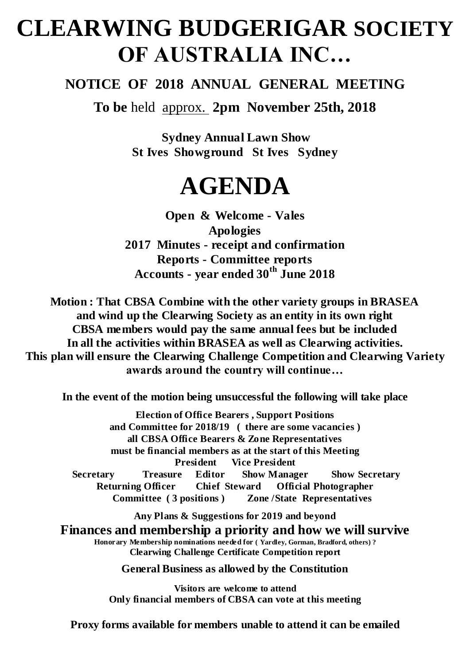# **CLEARWING BUDGERIGAR SOCIETY OF AUSTRALIA INC…**

### **NOTICE OF 2018 ANNUAL GENERAL MEETING**

**To be** held approx. **2pm November 25th, 2018**

**Sydney Annual Lawn Show St Ives Showground St Ives Sydney** 

# **AGENDA**

**Open & Welcome - Vales Apologies 2017 Minutes - receipt and confirmation Reports - Committee reports Accounts - year ended 30th June 2018**

**Motion : That CBSA Combine with the other variety groups in BRASEA and wind up the Clearwing Society as an entity in its own right CBSA members would pay the same annual fees but be included In all the activities within BRASEA as well as Clearwing activities. This plan will ensure the Clearwing Challenge Competition and Clearwing Variety awards around the country will continue…**

**In the event of the motion being unsuccessful the following will take place**

**Election of Office Bearers , Support Positions and Committee for 2018/19 ( there are some vacancies ) all CBSA Office Bearers & Zone Representatives must be financial members as at the start of this Meeting President Vice President Secretary Treasure Editor Show Manager Show Secretary Returning Officer Chief Steward Official Photographer Committee ( 3 positions ) Zone /State Representatives**

**Any Plans & Suggestions for 2019 and beyond**

**Finances and membership a priority and how we will survive Honorary Membership nominations needed for ( Yardley, Gorman, Bradford, others) ? Clearwing Challenge Certificate Competition report** 

**General Business as allowed by the Constitution**

**Visitors are welcome to attend Only financial members of CBSA can vote at this meeting**

**Proxy forms available for members unable to attend it can be emailed**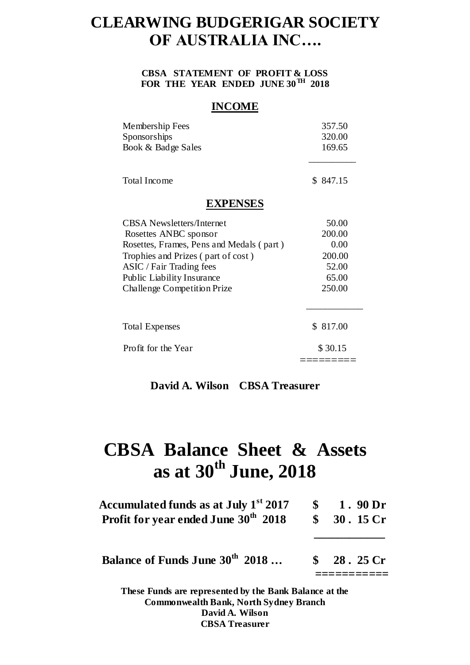### **CLEARWING BUDGERIGAR SOCIETY OF AUSTRALIA INC….**

#### **CBSA STATEMENT OF PROFIT & LOSS FOR THE YEAR ENDED JUNE 30TH 2018**

#### **INCOME**

| Membership Fees<br>Sponsorships          | 357.50<br>320.00 |
|------------------------------------------|------------------|
| Book & Badge Sales                       | 169.65           |
| <b>Total Income</b>                      | \$847.15         |
| <b>EXPENSES</b>                          |                  |
| <b>CBSA</b> Newsletters/Internet         | 50.00            |
| Rosettes ANBC sponsor                    | 200.00           |
| Rosettes, Frames, Pens and Medals (part) | 0.00             |
| Trophies and Prizes (part of cost)       | 200.00           |
| ASIC / Fair Trading fees                 | 52.00            |
| <b>Public Liability Insurance</b>        | 65.00            |
| <b>Challenge Competition Prize</b>       | 250.00           |
| <b>Total Expenses</b>                    | \$817.00         |
| Profit for the Year                      | \$30.15          |
|                                          |                  |

**David A. Wilson CBSA Treasurer**

# **CBSA Balance Sheet & Assets as at 30th June, 2018**

| Accumulated funds as at July 1 <sup>st</sup> 2017<br>Profit for year ended June 30 <sup>th</sup> 2018 | $\mathbf{s}$ | 1.90 <sub>Dr</sub><br>\$30.15Cr      |
|-------------------------------------------------------------------------------------------------------|--------------|--------------------------------------|
| Balance of Funds June 30 <sup>th</sup> 2018                                                           |              | $\frac{\text{S}}{\text{S}}$ 28.25 Cr |
| These Funds are represented by the Bank Balance at the                                                |              |                                      |

**Commonwealth Bank, North Sydney Branch David A. Wilson CBSA Treasurer**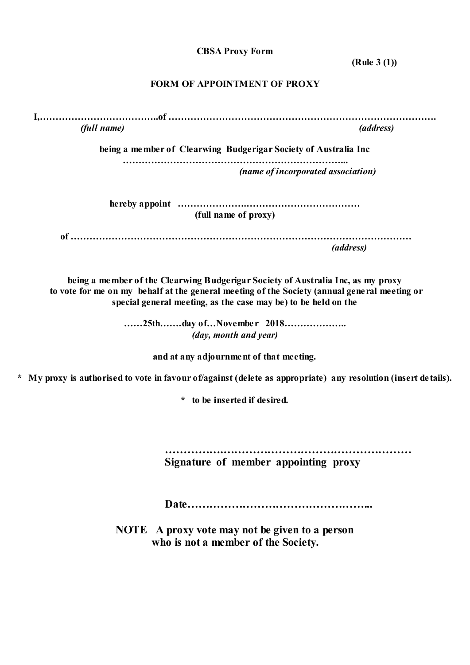**CBSA Proxy Form**

**(Rule 3 (1))**

### **FORM OF APPOINTMENT OF PROXY**

|         | <i>(full name)</i> | (address)                                                                                                                                                                                                                                          |
|---------|--------------------|----------------------------------------------------------------------------------------------------------------------------------------------------------------------------------------------------------------------------------------------------|
|         |                    | being a member of Clearwing Budgerigar Society of Australia Inc                                                                                                                                                                                    |
|         |                    | (name of incorporated association)                                                                                                                                                                                                                 |
|         |                    | (full name of proxy)                                                                                                                                                                                                                               |
|         |                    | <i>(address)</i>                                                                                                                                                                                                                                   |
|         |                    | being a member of the Clearwing Budgerigar Society of Australia Inc, as my proxy<br>to vote for me on my behalf at the general meeting of the Society (annual general meeting or<br>special general meeting, as the case may be) to be held on the |
|         |                    | (day, month and year)                                                                                                                                                                                                                              |
|         |                    | and at any adjournment of that meeting.                                                                                                                                                                                                            |
| $\star$ |                    | My proxy is authorised to vote in favour of/against (delete as appropriate) any resolution (insert details).                                                                                                                                       |
|         |                    | * to be inserted if desired.                                                                                                                                                                                                                       |
|         |                    | Signature of member appointing proxy                                                                                                                                                                                                               |
|         |                    |                                                                                                                                                                                                                                                    |

**NOTE A proxy vote may not be given to a person who is not a member of the Society.**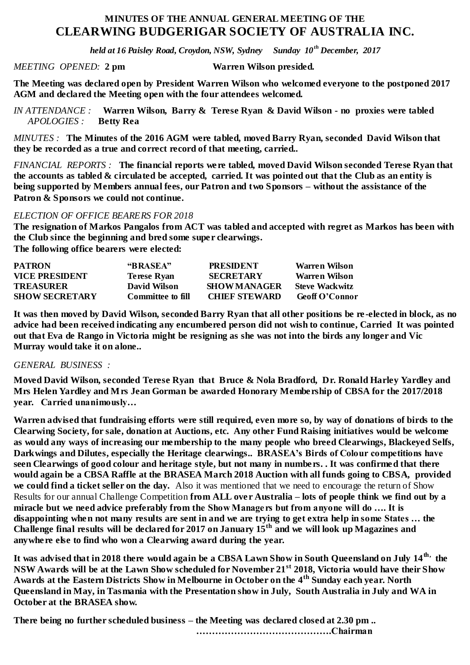### **MINUTES OF THE ANNUAL GENERAL MEETING OF THE CLEARWING BUDGERIGAR SOCIETY OF AUSTRALIA INC.**

*held at 16 Paisley Road, Croydon, NSW, Sydney Sunday 10th December, 2017*

*MEETING OPENED:* **2 pm Warren Wilson presided.**

**The Meeting was declared open by President Warren Wilson who welcomed everyone to the postponed 2017 AGM and declared the Meeting open with the four attendees welcomed.** 

*IN ATTENDANCE :* **Warren Wilson, Barry & Terese Ryan & David Wilson - no proxies were tabled**   $APOLOGIES$  :

*MINUTES :* **The Minutes of the 2016 AGM were tabled, moved Barry Ryan, seconded David Wilson that they be recorded as a true and correct record of that meeting, carried..**

*FINANCIAL REPORTS :* **The financial reports were tabled, moved David Wilson seconded Terese Ryan that the accounts as tabled & circulated be accepted, carried. It was pointed out that the Club as an entity is being supported by Members annual fees, our Patron and two Sponsors – without the assistance of the Patron & Sponsors we could not continue.**

#### *ELECTION OF OFFICE BEARERS FOR 2018*

**The resignation of Markos Pangalos from ACT was tabled and accepted with regret as Markos has been with the Club since the beginning and bred some super clearwings.** 

**The following office bearers were elected:**

| <b>PATRON</b>         | "BRASEA"           | <b>PRESIDENT</b>     | Warren Wilson         |
|-----------------------|--------------------|----------------------|-----------------------|
| <b>VICE PRESIDENT</b> | <b>Terese Ryan</b> | <b>SECRETARY</b>     | Warren Wilson         |
| <b>TREASURER</b>      | David Wilson       | <b>SHOW MANAGER</b>  | <b>Steve Wackwitz</b> |
| <b>SHOW SECRETARY</b> | Committee to fill  | <b>CHIEF STEWARD</b> | <b>Geoff O'Connor</b> |

**It was then moved by David Wilson, seconded Barry Ryan that all other positions be re -elected in block, as no advice had been received indicating any encumbered person did not wish to continue, Carried It was pointed out that Eva de Rango in Victoria might be resigning as she was not into the birds any longer and Vic Murray would take it on alone..**

#### *GENERAL BUSINESS :*

**Moved David Wilson, seconded Terese Ryan that Bruce & Nola Bradford, Dr. Ronald Harley Yardley and Mrs Helen Yardley and Mrs Jean Gorman be awarded Honorary Membership of CBSA for the 2017/2018 year. Carried unanimously…**

**Warren advised that fundraising efforts were still required, even more so, by way of donations of birds to the Clearwing Society, for sale, donation at Auctions, etc. Any other Fund Raising initiatives would be welcome as would any ways of increasing our membership to the many people who breed Clearwings, Blackeyed Selfs, Darkwings and Dilutes, especially the Heritage clearwings.. BRASEA's Birds of Colour competitions have seen Clearwings of good colour and heritage style, but not many in numbers. . It was confirmed that there would again be a CBSA Raffle at the BRASEA March 2018 Auction with all funds going to CBSA, provided we could find a ticket seller on the day.** Also it was mentioned that we need to encourage the return of Show Results for our annual Challenge Competition **from ALL over Australia – lots of people think we find out by a miracle but we need advice preferably from the Show Managers but from anyone will do …. It is disappointing when not many results are sent in and we are trying to get extra help in some States … the Challenge final results will be declared for 2017 on January 15th and we will look up Magazines and anywhere else to find who won a Clearwing award during the year.**

**It was advised that in 2018 there would again be a CBSA Lawn Show in South Queensland on July 14th, the NSW Awards will be at the Lawn Show scheduled for November 21st 2018, Victoria would have their Show Awards at the Eastern Districts Show in Melbourne in October on the 4th Sunday each year. North Queensland in May, in Tasmania with the Presentation show in July, South Australia in July and WA in October at the BRASEA show.** 

**There being no further scheduled business – the Meeting was declared closed at 2.30 pm ..**

 **…………………………………….Chairman**